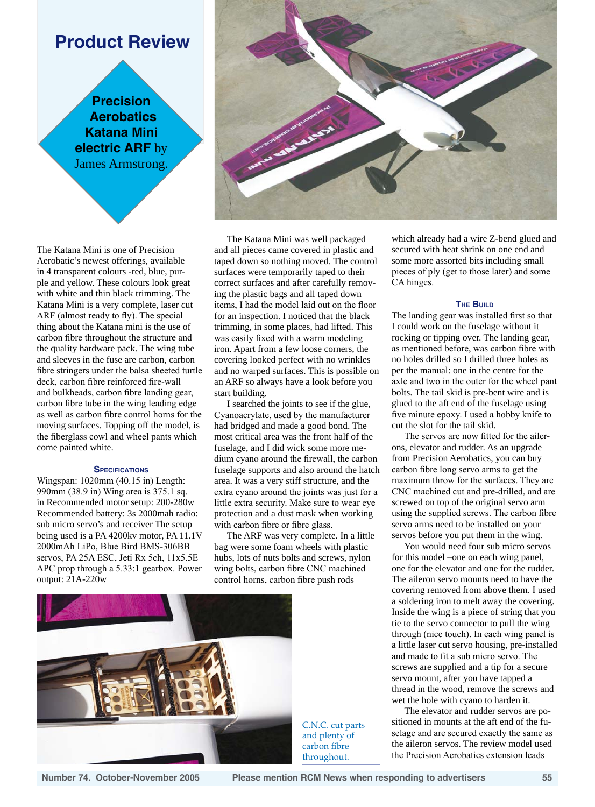# **Product Review**

**Precision Aerobatics Katana Mini electric ARF** by James Armstrong.

The Katana Mini is one of Precision Aerobatic's newest offerings, available in 4 transparent colours -red, blue, purple and yellow. These colours look great with white and thin black trimming. The Katana Mini is a very complete, laser cut ARF (almost ready to fly). The special thing about the Katana mini is the use of carbon fibre throughout the structure and the quality hardware pack. The wing tube and sleeves in the fuse are carbon, carbon fibre stringers under the balsa sheeted turtle deck, carbon fibre reinforced fire-wall and bulkheads, carbon fibre landing gear, carbon fibre tube in the wing leading edge as well as carbon fibre control horns for the moving surfaces. Topping off the model, is the fiberglass cowl and wheel pants which come painted white.

# **SPECIFICATIONS**

Wingspan: 1020mm (40.15 in) Length: 990mm (38.9 in) Wing area is 375.1 sq. in Recommended motor setup: 200-280w Recommended battery: 3s 2000mah radio: sub micro servo's and receiver The setup being used is a PA 4200kv motor, PA 11.1V 2000mAh LiPo, Blue Bird BMS-306BB servos, PA 25A ESC, Jeti Rx 5ch, 11x5.5E APC prop through a 5.33:1 gearbox. Power output: 21A-220w



The Katana Mini was well packaged and all pieces came covered in plastic and taped down so nothing moved. The control surfaces were temporarily taped to their correct surfaces and after carefully removing the plastic bags and all taped down items, I had the model laid out on the floor for an inspection. I noticed that the black trimming, in some places, had lifted. This was easily fixed with a warm modeling iron. Apart from a few loose corners, the covering looked perfect with no wrinkles and no warped surfaces. This is possible on an ARF so always have a look before you start building.

I searched the joints to see if the glue, Cyanoacrylate, used by the manufacturer had bridged and made a good bond. The most critical area was the front half of the fuselage, and I did wick some more medium cyano around the firewall, the carbon fuselage supports and also around the hatch area. It was a very stiff structure, and the extra cyano around the joints was just for a little extra security. Make sure to wear eye protection and a dust mask when working with carbon fibre or fibre glass.

The ARF was very complete. In a little bag were some foam wheels with plastic hubs, lots of nuts bolts and screws, nylon wing bolts, carbon fibre CNC machined control horns, carbon fibre push rods



C.N.C. cut parts and plenty of carbon fibre throughout.

which already had a wire Z-bend glued and secured with heat shrink on one end and some more assorted bits including small pieces of ply (get to those later) and some CA hinges.

# **The Build**

The landing gear was installed first so that I could work on the fuselage without it rocking or tipping over. The landing gear, as mentioned before, was carbon fibre with no holes drilled so I drilled three holes as per the manual: one in the centre for the axle and two in the outer for the wheel pant bolts. The tail skid is pre-bent wire and is glued to the aft end of the fuselage using five minute epoxy. I used a hobby knife to cut the slot for the tail skid.

The servos are now fitted for the ailerons, elevator and rudder. As an upgrade from Precision Aerobatics, you can buy carbon fibre long servo arms to get the maximum throw for the surfaces. They are CNC machined cut and pre-drilled, and are screwed on top of the original servo arm using the supplied screws. The carbon fibre servo arms need to be installed on your servos before you put them in the wing.

You would need four sub micro servos for this model –one on each wing panel, one for the elevator and one for the rudder. The aileron servo mounts need to have the covering removed from above them. I used a soldering iron to melt away the covering. Inside the wing is a piece of string that you tie to the servo connector to pull the wing through (nice touch). In each wing panel is a little laser cut servo housing, pre-installed and made to fit a sub micro servo. The screws are supplied and a tip for a secure servo mount, after you have tapped a thread in the wood, remove the screws and wet the hole with cyano to harden it.

The elevator and rudder servos are positioned in mounts at the aft end of the fuselage and are secured exactly the same as the aileron servos. The review model used the Precision Aerobatics extension leads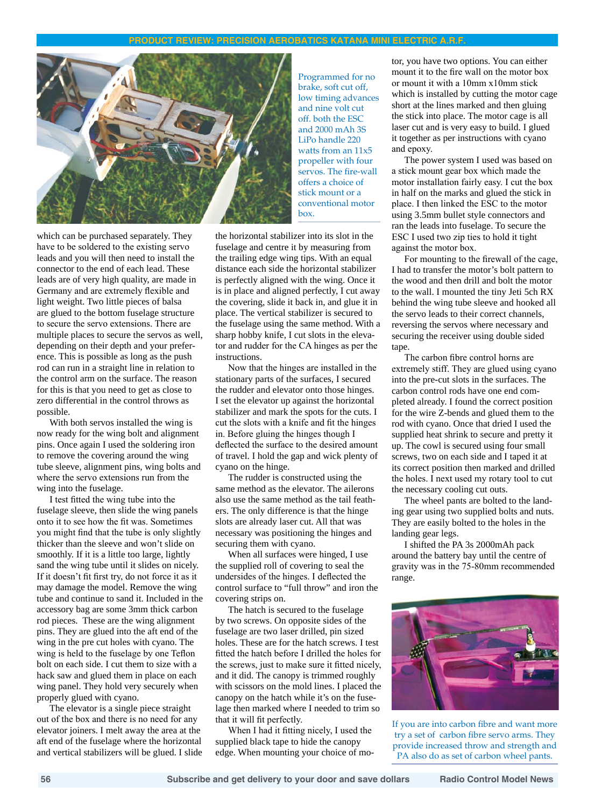# **product review: precision aerobatics katana mini electric a.r.f.**



which can be purchased separately. They have to be soldered to the existing servo leads and you will then need to install the connector to the end of each lead. These leads are of very high quality, are made in Germany and are extremely flexible and light weight. Two little pieces of balsa are glued to the bottom fuselage structure to secure the servo extensions. There are multiple places to secure the servos as well, depending on their depth and your preference. This is possible as long as the push rod can run in a straight line in relation to the control arm on the surface. The reason for this is that you need to get as close to zero differential in the control throws as possible.

With both servos installed the wing is now ready for the wing bolt and alignment pins. Once again I used the soldering iron to remove the covering around the wing tube sleeve, alignment pins, wing bolts and where the servo extensions run from the wing into the fuselage.

I test fitted the wing tube into the fuselage sleeve, then slide the wing panels onto it to see how the fit was. Sometimes you might find that the tube is only slightly thicker than the sleeve and won't slide on smoothly. If it is a little too large, lightly sand the wing tube until it slides on nicely. If it doesn't fit first try, do not force it as it may damage the model. Remove the wing tube and continue to sand it. Included in the accessory bag are some 3mm thick carbon rod pieces. These are the wing alignment pins. They are glued into the aft end of the wing in the pre cut holes with cyano. The wing is held to the fuselage by one Teflon bolt on each side. I cut them to size with a hack saw and glued them in place on each wing panel. They hold very securely when properly glued with cyano.

The elevator is a single piece straight out of the box and there is no need for any elevator joiners. I melt away the area at the aft end of the fuselage where the horizontal and vertical stabilizers will be glued. I slide Programmed for no brake, soft cut off, low timing advances and nine volt cut off. both the ESC and 2000 mAh 3S LiPo handle 220 watts from an 11x5 propeller with four servos. The fire-wall offers a choice of stick mount or a conventional motor box.

the horizontal stabilizer into its slot in the fuselage and centre it by measuring from the trailing edge wing tips. With an equal distance each side the horizontal stabilizer is perfectly aligned with the wing. Once it is in place and aligned perfectly, I cut away the covering, slide it back in, and glue it in place. The vertical stabilizer is secured to the fuselage using the same method. With a sharp hobby knife, I cut slots in the elevator and rudder for the CA hinges as per the instructions.

Now that the hinges are installed in the stationary parts of the surfaces, I secured the rudder and elevator onto those hinges. I set the elevator up against the horizontal stabilizer and mark the spots for the cuts. I cut the slots with a knife and fit the hinges in. Before gluing the hinges though I deflected the surface to the desired amount of travel. I hold the gap and wick plenty of cyano on the hinge.

The rudder is constructed using the same method as the elevator. The ailerons also use the same method as the tail feathers. The only difference is that the hinge slots are already laser cut. All that was necessary was positioning the hinges and securing them with cyano.

When all surfaces were hinged, I use the supplied roll of covering to seal the undersides of the hinges. I deflected the control surface to "full throw" and iron the covering strips on.

The hatch is secured to the fuselage by two screws. On opposite sides of the fuselage are two laser drilled, pin sized holes. These are for the hatch screws. I test fitted the hatch before I drilled the holes for the screws, just to make sure it fitted nicely, and it did. The canopy is trimmed roughly with scissors on the mold lines. I placed the canopy on the hatch while it's on the fuselage then marked where I needed to trim so that it will fit perfectly.

When I had it fitting nicely, I used the supplied black tape to hide the canopy edge. When mounting your choice of motor, you have two options. You can either mount it to the fire wall on the motor box or mount it with a 10mm x10mm stick which is installed by cutting the motor cage short at the lines marked and then gluing the stick into place. The motor cage is all laser cut and is very easy to build. I glued it together as per instructions with cyano and epoxy.

The power system I used was based on a stick mount gear box which made the motor installation fairly easy. I cut the box in half on the marks and glued the stick in place. I then linked the ESC to the motor using 3.5mm bullet style connectors and ran the leads into fuselage. To secure the ESC I used two zip ties to hold it tight against the motor box.

For mounting to the firewall of the cage, I had to transfer the motor's bolt pattern to the wood and then drill and bolt the motor to the wall. I mounted the tiny Jeti 5ch RX behind the wing tube sleeve and hooked all the servo leads to their correct channels, reversing the servos where necessary and securing the receiver using double sided tape.

The carbon fibre control horns are extremely stiff. They are glued using cyano into the pre-cut slots in the surfaces. The carbon control rods have one end completed already. I found the correct position for the wire Z-bends and glued them to the rod with cyano. Once that dried I used the supplied heat shrink to secure and pretty it up. The cowl is secured using four small screws, two on each side and I taped it at its correct position then marked and drilled the holes. I next used my rotary tool to cut the necessary cooling cut outs.

The wheel pants are bolted to the landing gear using two supplied bolts and nuts. They are easily bolted to the holes in the landing gear legs.

I shifted the PA 3s 2000mAh pack around the battery bay until the centre of gravity was in the 75-80mm recommended range.



If you are into carbon fibre and want more try a set of carbon fibre servo arms. They provide increased throw and strength and PA also do as set of carbon wheel pants.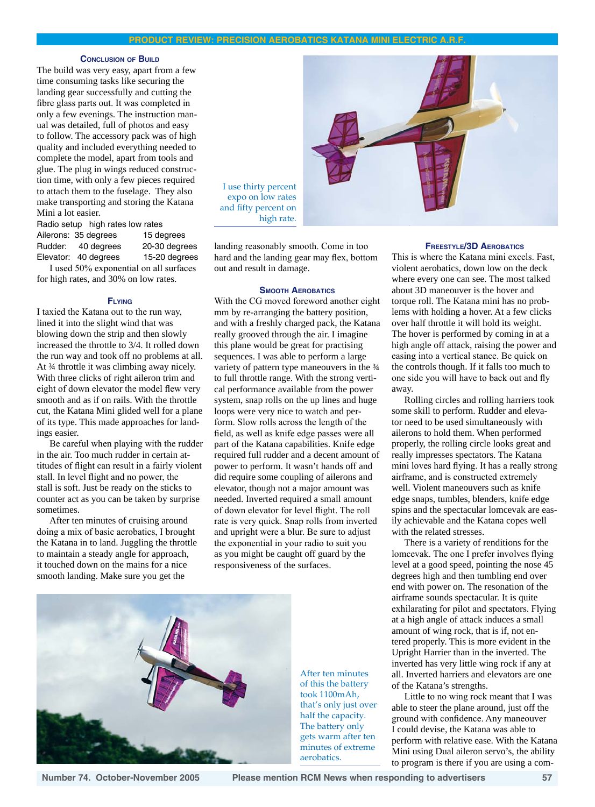### **product review: precision aerobatics katana mini electric a.r.f.**

#### **Conclusion of Build**

The build was very easy, apart from a few time consuming tasks like securing the landing gear successfully and cutting the fibre glass parts out. It was completed in only a few evenings. The instruction manual was detailed, full of photos and easy to follow. The accessory pack was of high quality and included everything needed to complete the model, apart from tools and glue. The plug in wings reduced construction time, with only a few pieces required to attach them to the fuselage. They also make transporting and storing the Katana Mini a lot easier.

Radio setup high rates low rates Ailerons: 35 degrees 15 degrees Rudder: 40 degrees 20-30 degrees Elevator: 40 degrees 15-20 degrees

I used 50% exponential on all surfaces for high rates, and 30% on low rates.

#### **Flying**

I taxied the Katana out to the run way, lined it into the slight wind that was blowing down the strip and then slowly increased the throttle to 3/4. It rolled down the run way and took off no problems at all. At ¾ throttle it was climbing away nicely. With three clicks of right aileron trim and eight of down elevator the model flew very smooth and as if on rails. With the throttle cut, the Katana Mini glided well for a plane of its type. This made approaches for landings easier.

Be careful when playing with the rudder in the air. Too much rudder in certain attitudes of flight can result in a fairly violent stall. In level flight and no power, the stall is soft. Just be ready on the sticks to counter act as you can be taken by surprise sometimes.

After ten minutes of cruising around doing a mix of basic aerobatics, I brought the Katana in to land. Juggling the throttle to maintain a steady angle for approach, it touched down on the mains for a nice smooth landing. Make sure you get the



landing reasonably smooth. Come in too hard and the landing gear may flex, bottom out and result in damage.

#### **Smooth Aerobatics**

With the CG moved foreword another eight mm by re-arranging the battery position, and with a freshly charged pack, the Katana really grooved through the air. I imagine this plane would be great for practising sequences. I was able to perform a large variety of pattern type maneouvers in the  $\frac{3}{4}$ to full throttle range. With the strong vertical performance available from the power system, snap rolls on the up lines and huge loops were very nice to watch and perform. Slow rolls across the length of the field, as well as knife edge passes were all part of the Katana capabilities. Knife edge required full rudder and a decent amount of power to perform. It wasn't hands off and did require some coupling of ailerons and elevator, though not a major amount was needed. Inverted required a small amount of down elevator for level flight. The roll rate is very quick. Snap rolls from inverted and upright were a blur. Be sure to adjust the exponential in your radio to suit you as you might be caught off guard by the responsiveness of the surfaces.



After ten minutes of this the battery took 1100mAh, that's only just over half the capacity. The battery only gets warm after ten minutes of extreme aerobatics.

# **Freestyle/3D Aerobatics**

This is where the Katana mini excels. Fast, violent aerobatics, down low on the deck where every one can see. The most talked about 3D maneouver is the hover and torque roll. The Katana mini has no problems with holding a hover. At a few clicks over half throttle it will hold its weight. The hover is performed by coming in at a high angle off attack, raising the power and easing into a vertical stance. Be quick on the controls though. If it falls too much to one side you will have to back out and fly away.

Rolling circles and rolling harriers took some skill to perform. Rudder and elevator need to be used simultaneously with ailerons to hold them. When performed properly, the rolling circle looks great and really impresses spectators. The Katana mini loves hard flying. It has a really strong airframe, and is constructed extremely well. Violent maneouvers such as knife edge snaps, tumbles, blenders, knife edge spins and the spectacular lomcevak are easily achievable and the Katana copes well with the related stresses.

There is a variety of renditions for the lomcevak. The one I prefer involves flying level at a good speed, pointing the nose 45 degrees high and then tumbling end over end with power on. The resonation of the airframe sounds spectacular. It is quite exhilarating for pilot and spectators. Flying at a high angle of attack induces a small amount of wing rock, that is if, not entered properly. This is more evident in the Upright Harrier than in the inverted. The inverted has very little wing rock if any at all. Inverted harriers and elevators are one of the Katana's strengths.

Little to no wing rock meant that I was able to steer the plane around, just off the ground with confidence. Any maneouver I could devise, the Katana was able to perform with relative ease. With the Katana Mini using Dual aileron servo's, the ability to program is there if you are using a com-